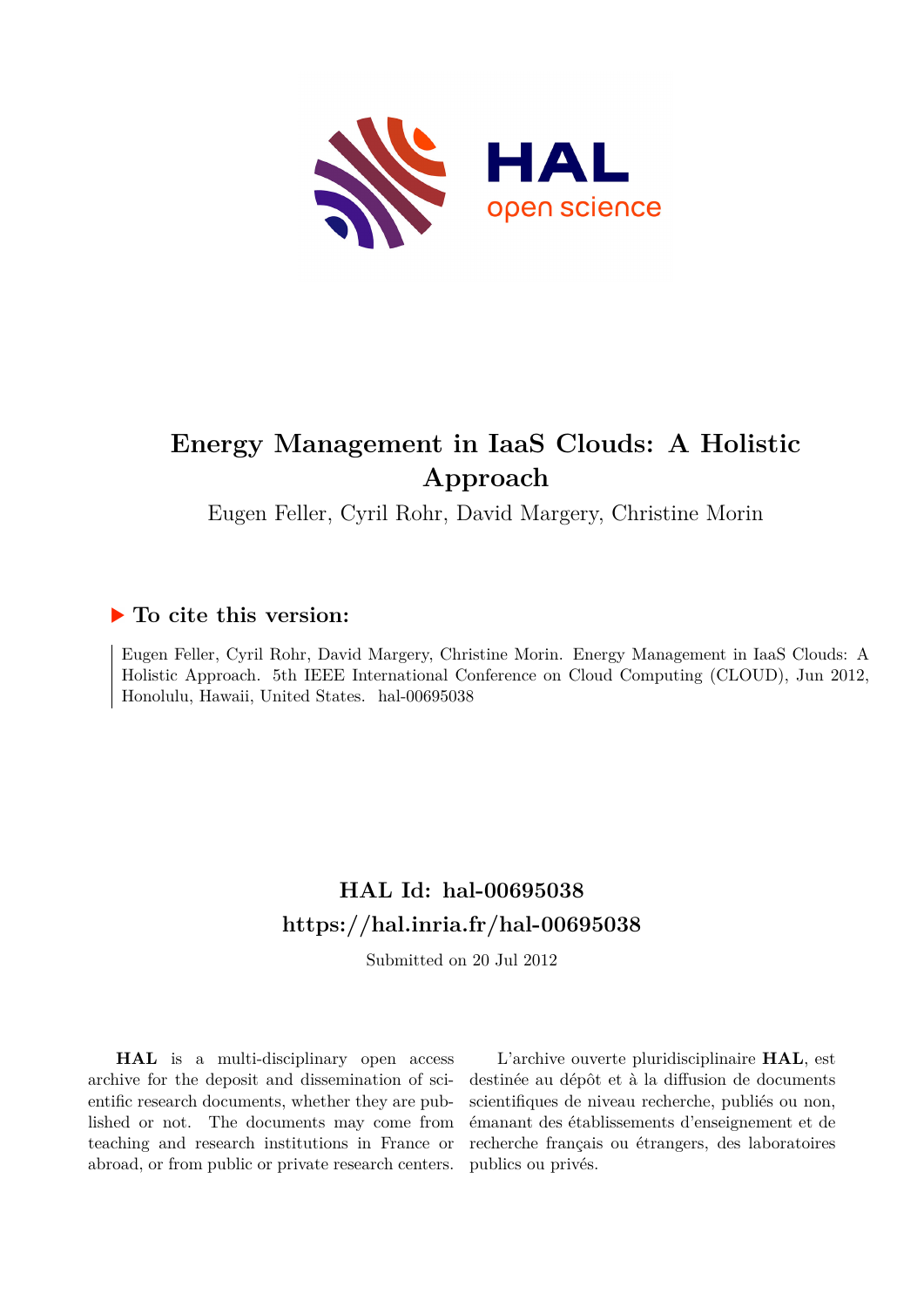

## **Energy Management in IaaS Clouds: A Holistic Approach**

Eugen Feller, Cyril Rohr, David Margery, Christine Morin

### **To cite this version:**

Eugen Feller, Cyril Rohr, David Margery, Christine Morin. Energy Management in IaaS Clouds: A Holistic Approach. 5th IEEE International Conference on Cloud Computing (CLOUD), Jun 2012, Honolulu, Hawaii, United States. hal-00695038

## **HAL Id: hal-00695038 <https://hal.inria.fr/hal-00695038>**

Submitted on 20 Jul 2012

**HAL** is a multi-disciplinary open access archive for the deposit and dissemination of scientific research documents, whether they are published or not. The documents may come from teaching and research institutions in France or abroad, or from public or private research centers.

L'archive ouverte pluridisciplinaire **HAL**, est destinée au dépôt et à la diffusion de documents scientifiques de niveau recherche, publiés ou non, émanant des établissements d'enseignement et de recherche français ou étrangers, des laboratoires publics ou privés.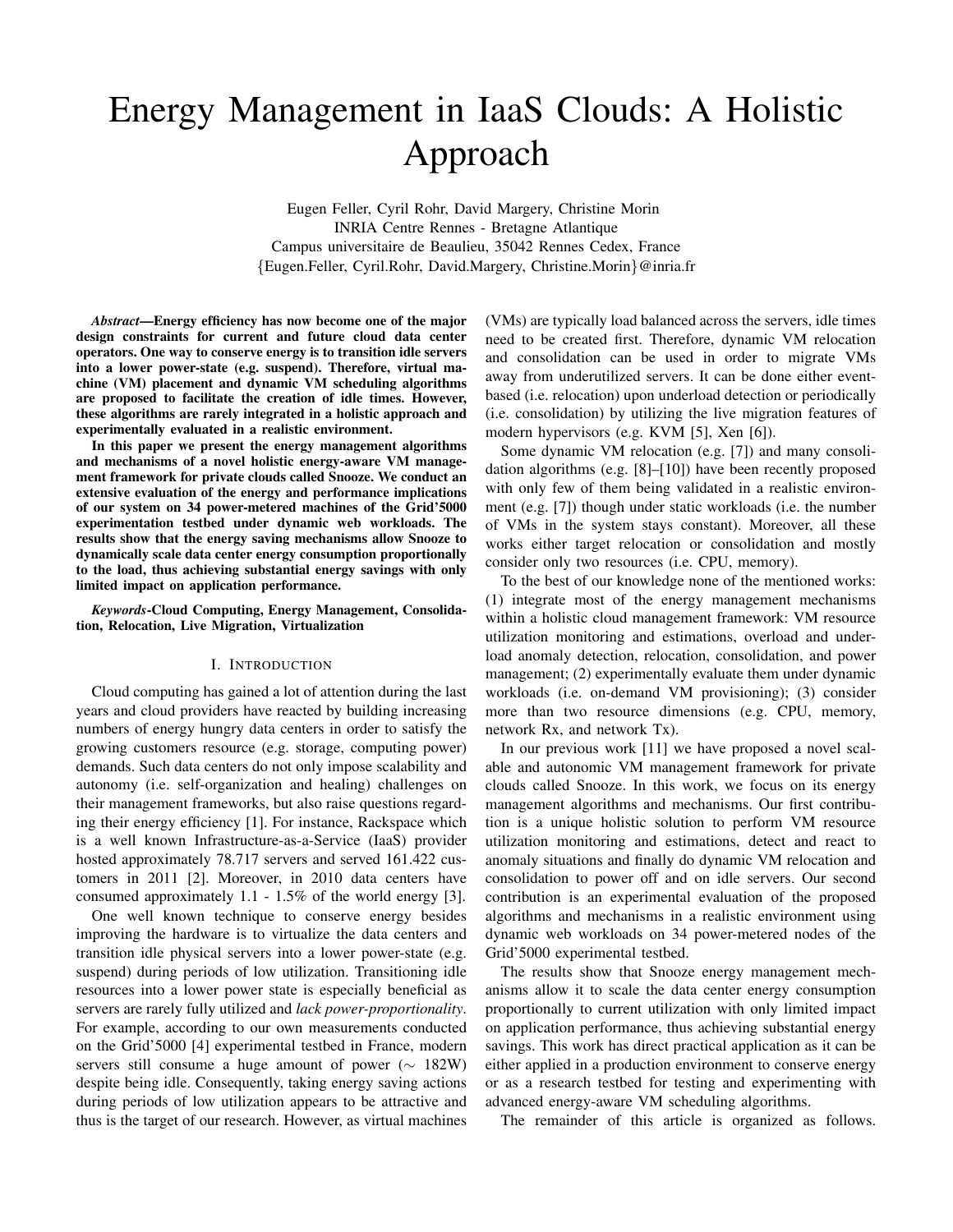# Energy Management in IaaS Clouds: A Holistic Approach

Eugen Feller, Cyril Rohr, David Margery, Christine Morin INRIA Centre Rennes - Bretagne Atlantique Campus universitaire de Beaulieu, 35042 Rennes Cedex, France {Eugen.Feller, Cyril.Rohr, David.Margery, Christine.Morin}@inria.fr

*Abstract*—Energy efficiency has now become one of the major design constraints for current and future cloud data center operators. One way to conserve energy is to transition idle servers into a lower power-state (e.g. suspend). Therefore, virtual machine (VM) placement and dynamic VM scheduling algorithms are proposed to facilitate the creation of idle times. However, these algorithms are rarely integrated in a holistic approach and experimentally evaluated in a realistic environment.

In this paper we present the energy management algorithms and mechanisms of a novel holistic energy-aware VM management framework for private clouds called Snooze. We conduct an extensive evaluation of the energy and performance implications of our system on 34 power-metered machines of the Grid'5000 experimentation testbed under dynamic web workloads. The results show that the energy saving mechanisms allow Snooze to dynamically scale data center energy consumption proportionally to the load, thus achieving substantial energy savings with only limited impact on application performance.

*Keywords*-Cloud Computing, Energy Management, Consolidation, Relocation, Live Migration, Virtualization

#### I. INTRODUCTION

Cloud computing has gained a lot of attention during the last years and cloud providers have reacted by building increasing numbers of energy hungry data centers in order to satisfy the growing customers resource (e.g. storage, computing power) demands. Such data centers do not only impose scalability and autonomy (i.e. self-organization and healing) challenges on their management frameworks, but also raise questions regarding their energy efficiency [1]. For instance, Rackspace which is a well known Infrastructure-as-a-Service (IaaS) provider hosted approximately 78.717 servers and served 161.422 customers in 2011 [2]. Moreover, in 2010 data centers have consumed approximately 1.1 - 1.5% of the world energy [3].

One well known technique to conserve energy besides improving the hardware is to virtualize the data centers and transition idle physical servers into a lower power-state (e.g. suspend) during periods of low utilization. Transitioning idle resources into a lower power state is especially beneficial as servers are rarely fully utilized and *lack power-proportionality*. For example, according to our own measurements conducted on the Grid'5000 [4] experimental testbed in France, modern servers still consume a huge amount of power (~ 182W) despite being idle. Consequently, taking energy saving actions during periods of low utilization appears to be attractive and thus is the target of our research. However, as virtual machines (VMs) are typically load balanced across the servers, idle times need to be created first. Therefore, dynamic VM relocation and consolidation can be used in order to migrate VMs away from underutilized servers. It can be done either eventbased (i.e. relocation) upon underload detection or periodically (i.e. consolidation) by utilizing the live migration features of modern hypervisors (e.g. KVM [5], Xen [6]).

Some dynamic VM relocation (e.g. [7]) and many consolidation algorithms (e.g. [8]–[10]) have been recently proposed with only few of them being validated in a realistic environment (e.g. [7]) though under static workloads (i.e. the number of VMs in the system stays constant). Moreover, all these works either target relocation or consolidation and mostly consider only two resources (i.e. CPU, memory).

To the best of our knowledge none of the mentioned works: (1) integrate most of the energy management mechanisms within a holistic cloud management framework: VM resource utilization monitoring and estimations, overload and underload anomaly detection, relocation, consolidation, and power management; (2) experimentally evaluate them under dynamic workloads (i.e. on-demand VM provisioning); (3) consider more than two resource dimensions (e.g. CPU, memory, network Rx, and network Tx).

In our previous work [11] we have proposed a novel scalable and autonomic VM management framework for private clouds called Snooze. In this work, we focus on its energy management algorithms and mechanisms. Our first contribution is a unique holistic solution to perform VM resource utilization monitoring and estimations, detect and react to anomaly situations and finally do dynamic VM relocation and consolidation to power off and on idle servers. Our second contribution is an experimental evaluation of the proposed algorithms and mechanisms in a realistic environment using dynamic web workloads on 34 power-metered nodes of the Grid'5000 experimental testbed.

The results show that Snooze energy management mechanisms allow it to scale the data center energy consumption proportionally to current utilization with only limited impact on application performance, thus achieving substantial energy savings. This work has direct practical application as it can be either applied in a production environment to conserve energy or as a research testbed for testing and experimenting with advanced energy-aware VM scheduling algorithms.

The remainder of this article is organized as follows.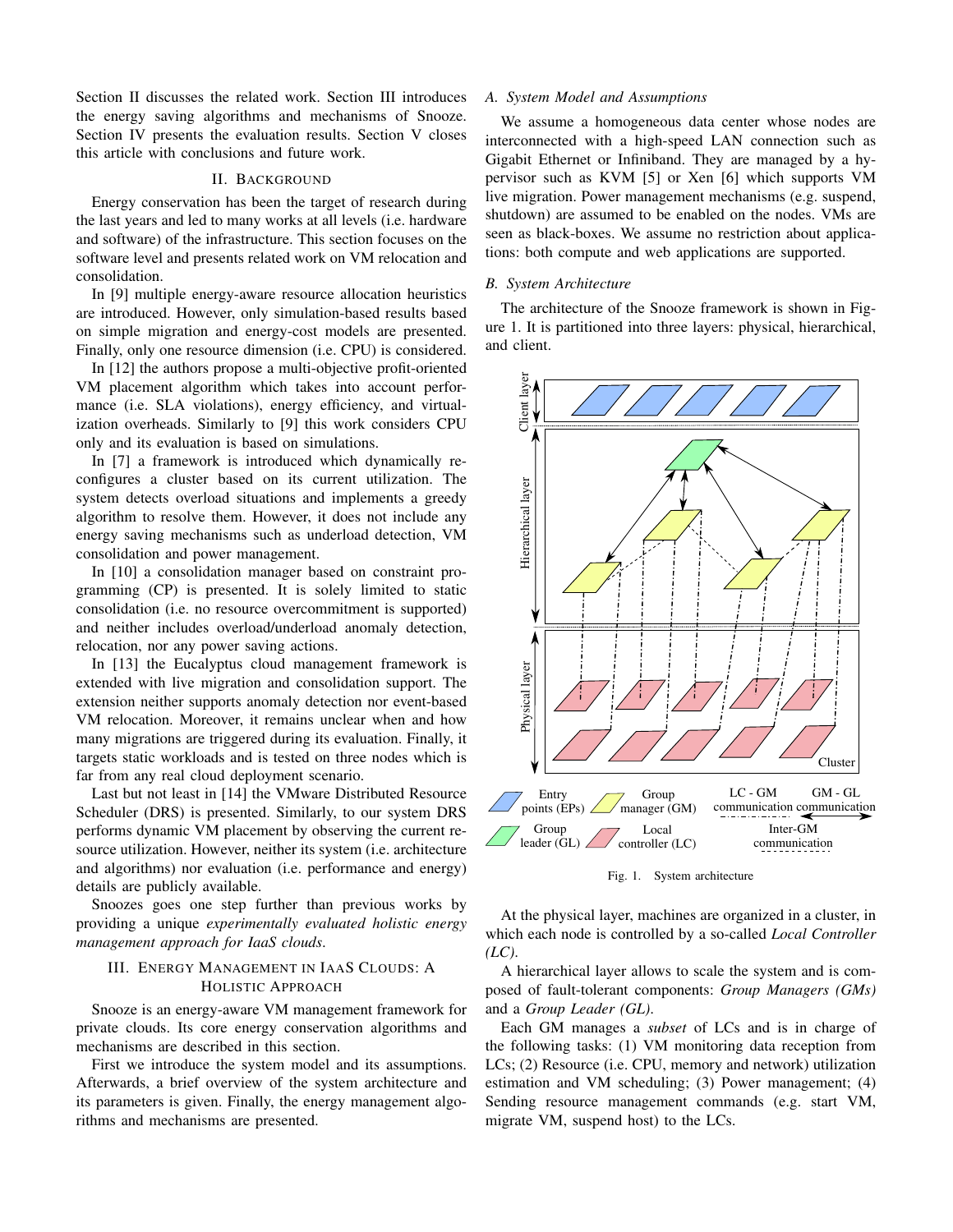Section II discusses the related work. Section III introduces the energy saving algorithms and mechanisms of Snooze. Section IV presents the evaluation results. Section V closes this article with conclusions and future work.

#### II. BACKGROUND

Energy conservation has been the target of research during the last years and led to many works at all levels (i.e. hardware and software) of the infrastructure. This section focuses on the software level and presents related work on VM relocation and consolidation.

In [9] multiple energy-aware resource allocation heuristics are introduced. However, only simulation-based results based on simple migration and energy-cost models are presented. Finally, only one resource dimension (i.e. CPU) is considered.

In [12] the authors propose a multi-objective profit-oriented VM placement algorithm which takes into account performance (*i.e.* SLA violations), energy efficiency, and virtualization overheads. Similarly to [9] this work considers CPU only and its evaluation is based on simulations.

In [7] a framework is introduced which dynamically reconfigures a cluster based on its current utilization. The system detects overload situations and implements a greedy algorithm to resolve them. However, it does not include any energy saving mechanisms such as underload detection, VM consolidation and power management.

In [10] a consolidation manager based on constraint programming (CP) is presented. It is solely limited to static consolidation (i.e. no resource overcommitment is supported) and neither includes overload/underload anomaly detection, relocation, nor any power saving actions.

In [13] the Eucalyptus cloud management framework is extended with live migration and consolidation support. The extension neither supports anomaly detection nor event-based VM relocation. Moreover, it remains unclear when and how many migrations are triggered during its evaluation. Finally, it targets static workloads and is tested on three nodes which is far from any real cloud deployment scenario.

Last but not least in [14] the VMware Distributed Resource Scheduler (DRS) is presented. Similarly, to our system DRS performs dynamic VM placement by observing the current resource utilization. However, neither its system (i.e. architecture and algorithms) nor evaluation (i.e. performance and energy) details are publicly available.

Snoozes goes one step further than previous works by providing a unique *experimentally evaluated holistic energy management approach for IaaS clouds*.

#### III. ENERGY MANAGEMENT IN IAAS CLOUDS: A HOLISTIC APPROACH

Snooze is an energy-aware VM management framework for private clouds. Its core energy conservation algorithms and mechanisms are described in this section.

First we introduce the system model and its assumptions. Afterwards, a brief overview of the system architecture and its parameters is given. Finally, the energy management algorithms and mechanisms are presented.

#### *A. System Model and Assumptions*

We assume a homogeneous data center whose nodes are interconnected with a high-speed LAN connection such as Gigabit Ethernet or Infiniband. They are managed by a hypervisor such as KVM [5] or Xen [6] which supports VM live migration. Power management mechanisms (e.g. suspend, shutdown) are assumed to be enabled on the nodes. VMs are seen as black-boxes. We assume no restriction about applications: both compute and web applications are supported.

#### *B. System Architecture*

The architecture of the Snooze framework is shown in Figure 1. It is partitioned into three layers: physical, hierarchical, and client.



Fig. 1. System architecture

At the physical layer, machines are organized in a cluster, in which each node is controlled by a so-called *Local Controller (LC)*.

A hierarchical layer allows to scale the system and is composed of fault-tolerant components: *Group Managers (GMs)* and a *Group Leader (GL)*.

Each GM manages a *subset* of LCs and is in charge of the following tasks: (1) VM monitoring data reception from LCs; (2) Resource (i.e. CPU, memory and network) utilization estimation and VM scheduling; (3) Power management; (4) Sending resource management commands (e.g. start VM, migrate VM, suspend host) to the LCs.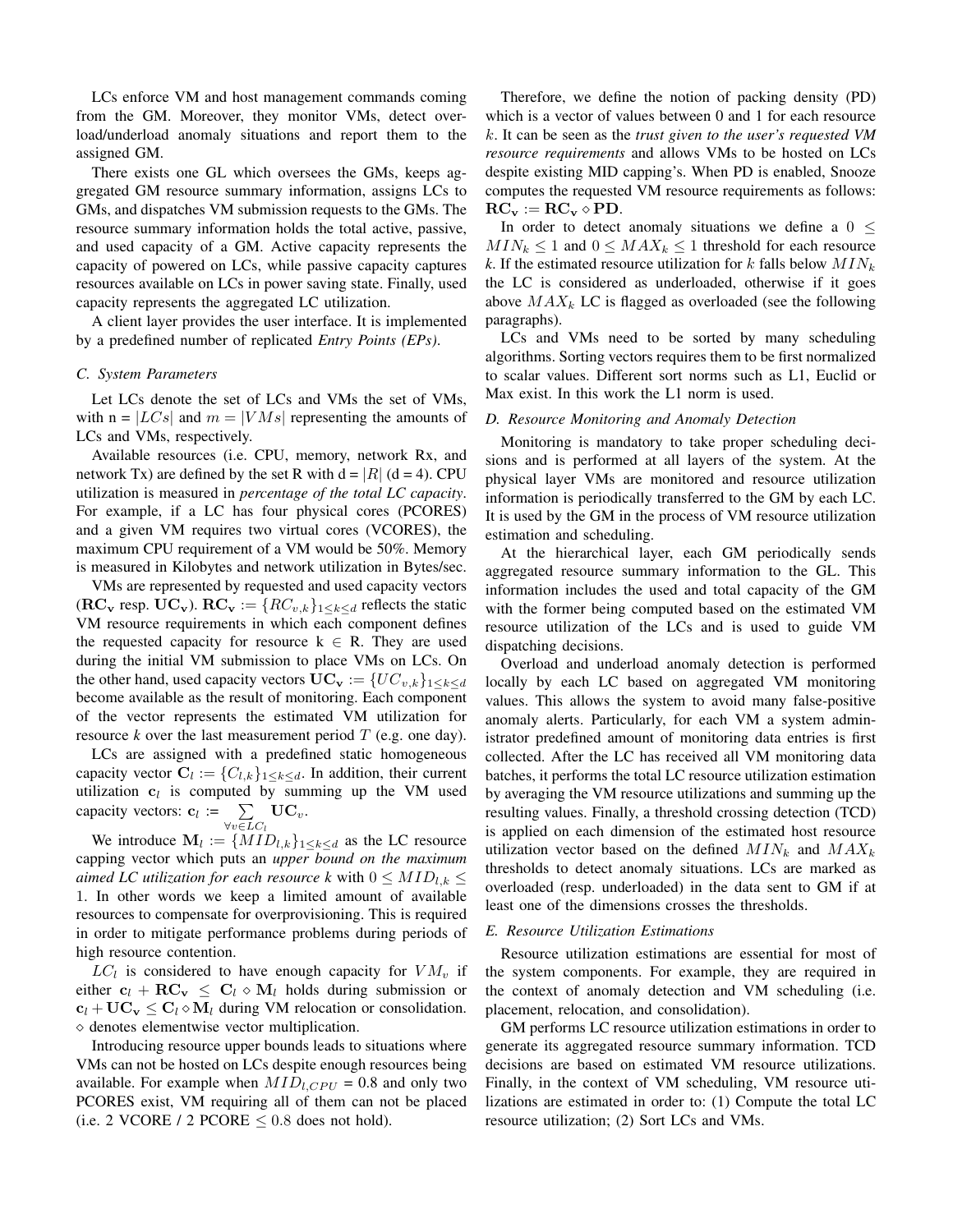LCs enforce VM and host management commands coming from the GM. Moreover, they monitor VMs, detect overload/underload anomaly situations and report them to the assigned GM.

There exists one GL which oversees the GMs, keeps aggregated GM resource summary information, assigns LCs to GMs, and dispatches VM submission requests to the GMs. The resource summary information holds the total active, passive, and used capacity of a GM. Active capacity represents the capacity of powered on LCs, while passive capacity captures resources available on LCs in power saving state. Finally, used capacity represents the aggregated LC utilization.

A client layer provides the user interface. It is implemented by a predefined number of replicated *Entry Points (EPs)*.

#### *C. System Parameters*

Let LCs denote the set of LCs and VMs the set of VMs, with  $n = |LCs|$  and  $m = |VMs|$  representing the amounts of LCs and VMs, respectively.

Available resources (i.e. CPU, memory, network Rx, and network Tx) are defined by the set R with  $d = |R|$  (d = 4). CPU utilization is measured in *percentage of the total LC capacity*. For example, if a LC has four physical cores (PCORES) and a given VM requires two virtual cores (VCORES), the maximum CPU requirement of a VM would be 50%. Memory is measured in Kilobytes and network utilization in Bytes/sec.

VMs are represented by requested and used capacity vectors (RC<sub>v</sub> resp. UC<sub>v</sub>). RC<sub>v</sub> := { $RC_{v,k}$ }<sub>1</sub> < k < d reflects the static VM resource requirements in which each component defines the requested capacity for resource  $k \in R$ . They are used during the initial VM submission to place VMs on LCs. On the other hand, used capacity vectors  $UC_{v} := \{UC_{v,k}\}_{1 \leq k \leq d}$ become available as the result of monitoring. Each component of the vector represents the estimated VM utilization for resource  $k$  over the last measurement period  $T$  (e.g. one day).

LCs are assigned with a predefined static homogeneous capacity vector  $\mathbf{C}_l := \{C_{l,k}\}_{1 \leq k \leq d}$ . In addition, their current utilization  $c_l$  is computed by summing up the VM used capacity vectors:  $c_l := \sum$  $\sum\limits_{\forall v \in LC_l} \mathbf{UC}_v.$ 

We introduce  $M_l := \{ \overrightarrow{MID}_{l,k} \}_{1 \leq k \leq d}$  as the LC resource capping vector which puts an *upper bound on the maximum aimed LC utilization for each resource k* with  $0 \leq MID_{l,k} \leq$ 1. In other words we keep a limited amount of available resources to compensate for overprovisioning. This is required in order to mitigate performance problems during periods of high resource contention.

 $LC_l$  is considered to have enough capacity for  $VM_v$  if either  $c_l + RC_v \leq C_l \diamond M_l$  holds during submission or  $c_l + UC_v \leq C_l \diamond M_l$  during VM relocation or consolidation.  $\diamond$  denotes elementwise vector multiplication.

Introducing resource upper bounds leads to situations where VMs can not be hosted on LCs despite enough resources being available. For example when  $MID_{LCPU} = 0.8$  and only two PCORES exist, VM requiring all of them can not be placed (i.e. 2 VCORE / 2 PCORE  $\leq$  0.8 does not hold).

Therefore, we define the notion of packing density (PD) which is a vector of values between 0 and 1 for each resource k. It can be seen as the *trust given to the user's requested VM resource requirements* and allows VMs to be hosted on LCs despite existing MID capping's. When PD is enabled, Snooze computes the requested VM resource requirements as follows:  $RC_v := RC_v \diamond PD.$ 

In order to detect anomaly situations we define a  $0 \leq$  $MIN_k \leq 1$  and  $0 \leq MAX_k \leq 1$  threshold for each resource *k*. If the estimated resource utilization for k falls below  $MIN_k$ the LC is considered as underloaded, otherwise if it goes above  $MAX_k$  LC is flagged as overloaded (see the following paragraphs).

LCs and VMs need to be sorted by many scheduling algorithms. Sorting vectors requires them to be first normalized to scalar values. Different sort norms such as L1, Euclid or Max exist. In this work the L1 norm is used.

#### *D. Resource Monitoring and Anomaly Detection*

Monitoring is mandatory to take proper scheduling decisions and is performed at all layers of the system. At the physical layer VMs are monitored and resource utilization information is periodically transferred to the GM by each LC. It is used by the GM in the process of VM resource utilization estimation and scheduling.

At the hierarchical layer, each GM periodically sends aggregated resource summary information to the GL. This information includes the used and total capacity of the GM with the former being computed based on the estimated VM resource utilization of the LCs and is used to guide VM dispatching decisions.

Overload and underload anomaly detection is performed locally by each LC based on aggregated VM monitoring values. This allows the system to avoid many false-positive anomaly alerts. Particularly, for each VM a system administrator predefined amount of monitoring data entries is first collected. After the LC has received all VM monitoring data batches, it performs the total LC resource utilization estimation by averaging the VM resource utilizations and summing up the resulting values. Finally, a threshold crossing detection (TCD) is applied on each dimension of the estimated host resource utilization vector based on the defined  $MIN_k$  and  $MAX_k$ thresholds to detect anomaly situations. LCs are marked as overloaded (resp. underloaded) in the data sent to GM if at least one of the dimensions crosses the thresholds.

#### *E. Resource Utilization Estimations*

Resource utilization estimations are essential for most of the system components. For example, they are required in the context of anomaly detection and VM scheduling (i.e. placement, relocation, and consolidation).

GM performs LC resource utilization estimations in order to generate its aggregated resource summary information. TCD decisions are based on estimated VM resource utilizations. Finally, in the context of VM scheduling, VM resource utilizations are estimated in order to: (1) Compute the total LC resource utilization; (2) Sort LCs and VMs.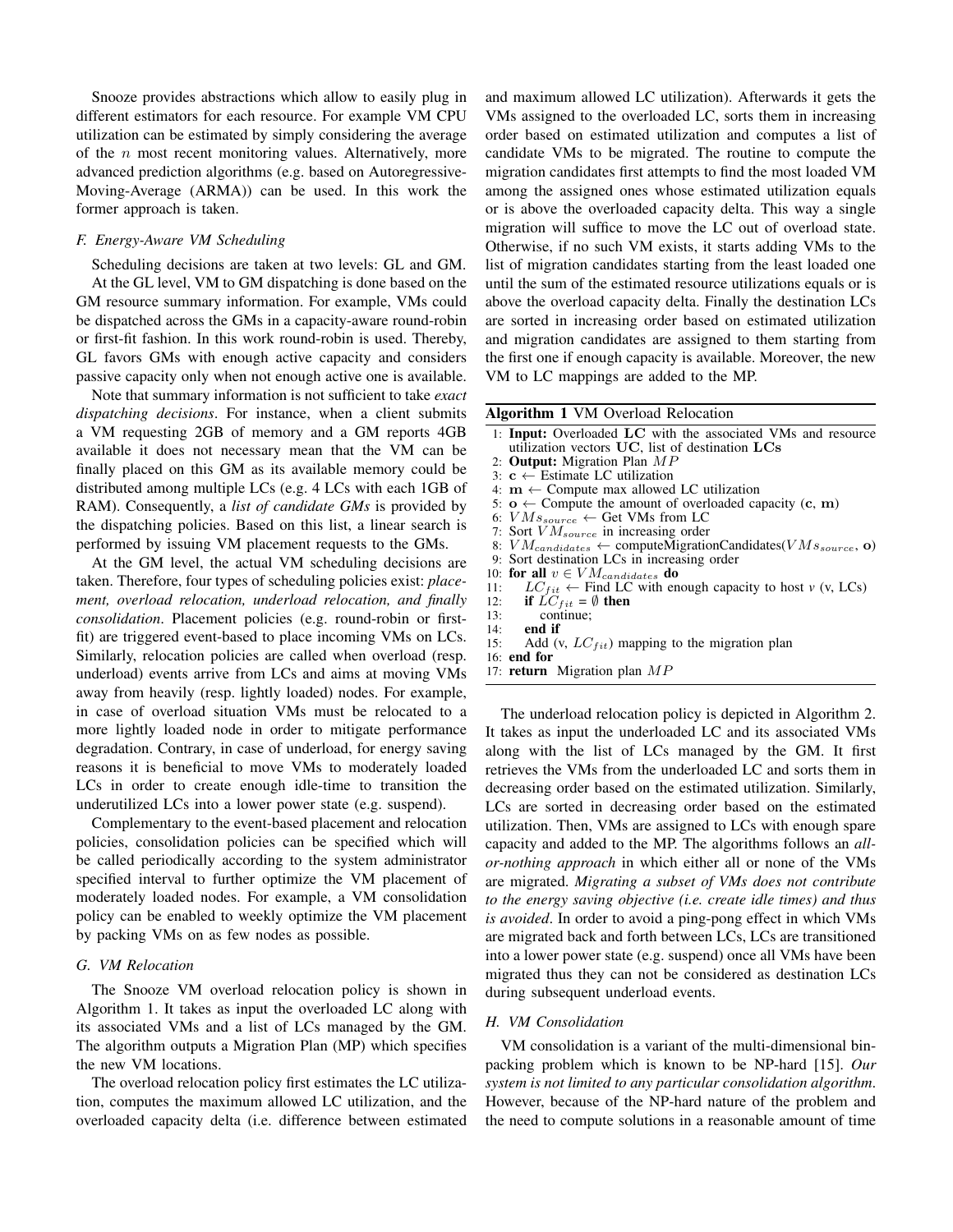Snooze provides abstractions which allow to easily plug in different estimators for each resource. For example VM CPU utilization can be estimated by simply considering the average of the  $n$  most recent monitoring values. Alternatively, more advanced prediction algorithms (e.g. based on Autoregressive-Moving-Average (ARMA)) can be used. In this work the former approach is taken.

#### *F. Energy-Aware VM Scheduling*

Scheduling decisions are taken at two levels: GL and GM. At the GL level, VM to GM dispatching is done based on the GM resource summary information. For example, VMs could be dispatched across the GMs in a capacity-aware round-robin or first-fit fashion. In this work round-robin is used. Thereby, GL favors GMs with enough active capacity and considers passive capacity only when not enough active one is available.

Note that summary information is not sufficient to take *exact dispatching decisions*. For instance, when a client submits a VM requesting 2GB of memory and a GM reports 4GB available it does not necessary mean that the VM can be finally placed on this GM as its available memory could be distributed among multiple LCs (e.g. 4 LCs with each 1GB of RAM). Consequently, a *list of candidate GMs* is provided by the dispatching policies. Based on this list, a linear search is performed by issuing VM placement requests to the GMs.

At the GM level, the actual VM scheduling decisions are taken. Therefore, four types of scheduling policies exist: *placement, overload relocation, underload relocation, and finally consolidation*. Placement policies (e.g. round-robin or firstfit) are triggered event-based to place incoming VMs on LCs. Similarly, relocation policies are called when overload (resp. underload) events arrive from LCs and aims at moving VMs away from heavily (resp. lightly loaded) nodes. For example, in case of overload situation VMs must be relocated to a more lightly loaded node in order to mitigate performance degradation. Contrary, in case of underload, for energy saving reasons it is beneficial to move VMs to moderately loaded LCs in order to create enough idle-time to transition the underutilized LCs into a lower power state (e.g. suspend).

Complementary to the event-based placement and relocation policies, consolidation policies can be specified which will be called periodically according to the system administrator specified interval to further optimize the VM placement of moderately loaded nodes. For example, a VM consolidation policy can be enabled to weekly optimize the VM placement by packing VMs on as few nodes as possible.

#### *G. VM Relocation*

The Snooze VM overload relocation policy is shown in Algorithm 1. It takes as input the overloaded LC along with its associated VMs and a list of LCs managed by the GM. The algorithm outputs a Migration Plan (MP) which specifies the new VM locations.

The overload relocation policy first estimates the LC utilization, computes the maximum allowed LC utilization, and the overloaded capacity delta (i.e. difference between estimated and maximum allowed LC utilization). Afterwards it gets the VMs assigned to the overloaded LC, sorts them in increasing order based on estimated utilization and computes a list of candidate VMs to be migrated. The routine to compute the migration candidates first attempts to find the most loaded VM among the assigned ones whose estimated utilization equals or is above the overloaded capacity delta. This way a single migration will suffice to move the LC out of overload state. Otherwise, if no such VM exists, it starts adding VMs to the list of migration candidates starting from the least loaded one until the sum of the estimated resource utilizations equals or is above the overload capacity delta. Finally the destination LCs are sorted in increasing order based on estimated utilization and migration candidates are assigned to them starting from the first one if enough capacity is available. Moreover, the new VM to LC mappings are added to the MP.

1: Input: Overloaded LC with the associated VMs and resource

Algorithm 1 VM Overload Relocation

2: **Output:** Migration Plan  $MP$ <br>3: **c**  $\leftarrow$  Estimate LC utilization  $c \leftarrow$  Estimate LC utilization 4:  $m \leftarrow$  Compute max allowed LC utilization 5:  $o \leftarrow$  Compute the amount of overloaded capacity (c, m) 6:  $VMs_{source} \leftarrow$  Get VMs from LC 7: Sort  $VM_{source}$  in increasing order 8:  $VM_{candidates} \leftarrow computeMigrationC and idates(VMs_{source}, \mathbf{o})$ <br>9: Sort destination LCs in increasing order Sort destination LCs in increasing order 10: **for all**  $v \in VM_{candidates}$  **do**<br>11:  $LC_{fit} \leftarrow$  Find LC with en 11:  $LC_{fit} \leftarrow$  Find LC with enough capacity to host *v* (v, LCs) 12: if  $LC_{fit} = \emptyset$  then 13: continue; 14: end if 15: Add (v,  $LC_{fit}$ ) mapping to the migration plan 16: end for

utilization vectors UC, list of destination LCs

17: **return** Migration plan  $MP$ 

The underload relocation policy is depicted in Algorithm 2. It takes as input the underloaded LC and its associated VMs along with the list of LCs managed by the GM. It first retrieves the VMs from the underloaded LC and sorts them in decreasing order based on the estimated utilization. Similarly, LCs are sorted in decreasing order based on the estimated utilization. Then, VMs are assigned to LCs with enough spare capacity and added to the MP. The algorithms follows an *allor-nothing approach* in which either all or none of the VMs are migrated. *Migrating a subset of VMs does not contribute to the energy saving objective (i.e. create idle times) and thus is avoided*. In order to avoid a ping-pong effect in which VMs are migrated back and forth between LCs, LCs are transitioned into a lower power state (e.g. suspend) once all VMs have been migrated thus they can not be considered as destination LCs during subsequent underload events.

#### *H. VM Consolidation*

VM consolidation is a variant of the multi-dimensional binpacking problem which is known to be NP-hard [15]. *Our system is not limited to any particular consolidation algorithm*. However, because of the NP-hard nature of the problem and the need to compute solutions in a reasonable amount of time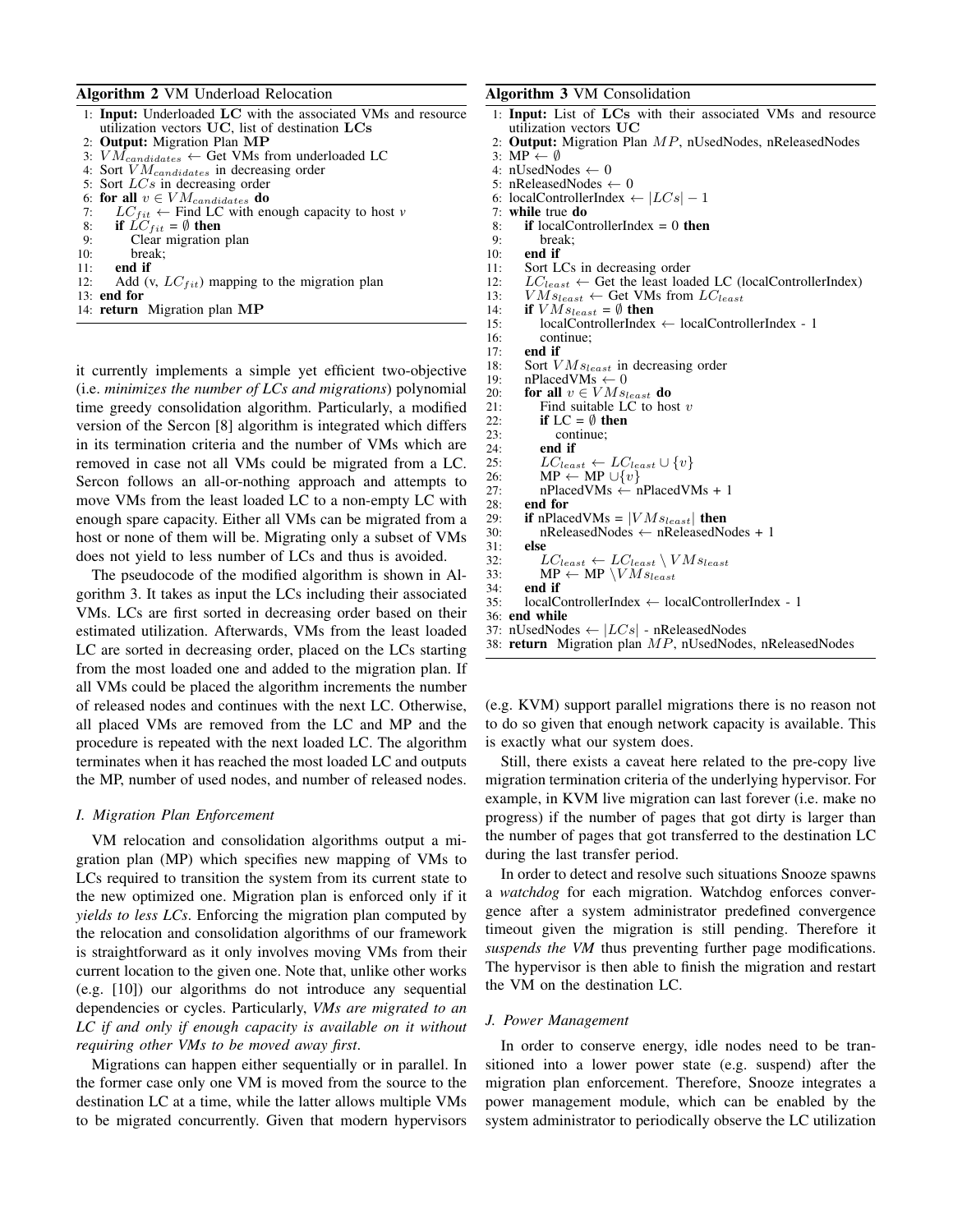#### Algorithm 2 VM Underload Relocation

|     | 1: <b>Input:</b> Underloaded <b>LC</b> with the associated VMs and resource |
|-----|-----------------------------------------------------------------------------|
|     | utilization vectors $UC$ , list of destination $LCs$                        |
|     | 2: <b>Output:</b> Migration Plan MP                                         |
|     | 3: $VM_{candidates} \leftarrow$ Get VMs from underloaded LC                 |
|     | 4: Sort $VM_{candidates}$ in decreasing order                               |
|     | 5: Sort $LCs$ in decreasing order                                           |
|     | 6: for all $v \in VM_{candidates}$ do                                       |
| 7:  | $LC_{fit} \leftarrow$ Find LC with enough capacity to host v                |
| 8:  | if $LC_{fit} = \emptyset$ then                                              |
| 9:  | Clear migration plan                                                        |
|     | 10: break;                                                                  |
|     | $11:$ end if                                                                |
| 12: | Add (v, $LC_{fit}$ ) mapping to the migration plan                          |
|     | $13:$ end for                                                               |
|     | 14: <b>return</b> Migration plan MP                                         |
|     |                                                                             |

it currently implements a simple yet efficient two-objective (i.e. *minimizes the number of LCs and migrations*) polynomial time greedy consolidation algorithm. Particularly, a modified version of the Sercon [8] algorithm is integrated which differs in its termination criteria and the number of VMs which are removed in case not all VMs could be migrated from a LC. Sercon follows an all-or-nothing approach and attempts to move VMs from the least loaded LC to a non-empty LC with enough spare capacity. Either all VMs can be migrated from a host or none of them will be. Migrating only a subset of VMs does not yield to less number of LCs and thus is avoided.

The pseudocode of the modified algorithm is shown in Algorithm 3. It takes as input the LCs including their associated VMs. LCs are first sorted in decreasing order based on their estimated utilization. Afterwards, VMs from the least loaded LC are sorted in decreasing order, placed on the LCs starting from the most loaded one and added to the migration plan. If all VMs could be placed the algorithm increments the number of released nodes and continues with the next LC. Otherwise, all placed VMs are removed from the LC and MP and the procedure is repeated with the next loaded LC. The algorithm terminates when it has reached the most loaded LC and outputs the MP, number of used nodes, and number of released nodes.

#### *I. Migration Plan Enforcement*

VM relocation and consolidation algorithms output a migration plan (MP) which specifies new mapping of VMs to LCs required to transition the system from its current state to the new optimized one. Migration plan is enforced only if it *yields to less LCs*. Enforcing the migration plan computed by the relocation and consolidation algorithms of our framework is straightforward as it only involves moving VMs from their current location to the given one. Note that, unlike other works (e.g. [10]) our algorithms do not introduce any sequential dependencies or cycles. Particularly, *VMs are migrated to an LC if and only if enough capacity is available on it without requiring other VMs to be moved away first*.

Migrations can happen either sequentially or in parallel. In the former case only one VM is moved from the source to the destination LC at a time, while the latter allows multiple VMs to be migrated concurrently. Given that modern hypervisors

#### Algorithm 3 VM Consolidation

- 1: Input: List of LCs with their associated VMs and resource utilization vectors UC
- 2: Output: Migration Plan  $MP$ , nUsedNodes, nReleasedNodes 3:  $MP \leftarrow \emptyset$
- 4:  $nUsedNodes \leftarrow 0$
- 
- 5: nReleasedNodes  $\leftarrow 0$ <br>6: localControllerIndex  $\leftarrow$ 6: localControllerIndex  $\leftarrow |LCs| - 1$ <br>7: while true do
- 
- 7: while true  $\bf{do}$ <br>8: **if** localCom 8: **if** localControllerIndex = 0 **then**  $\theta$ .
- 
- 9: break;<br>10: **end if** end if
	-
- 11: Sort LCs in decreasing order<br>12:  $LC_{least} \leftarrow$  Get the least load 12:  $LC_{least} \leftarrow$  Get the least loaded LC (localControllerIndex)<br>13:  $VM_{Sleast} \leftarrow$  Get VMs from  $LC_{least}$ 
	- $VMs_{least} \leftarrow$  Get VMs from  $LC_{least}$
	-
- 14: **if**  $VMs_{least} = \emptyset$  **then**<br>15: **localControllerIndex** 15: localControllerIndex ← localControllerIndex - 1

```
16: continue;
```
17: end if

```
18: Sort VMs_{least} in decreasing order
```

```
19: nPlacedVMs \leftarrow 0
20: for all v \in VMs_{least} do
```

```
21: Find suitable LC to host v
```
22: **if**  $LC = \emptyset$  then<br>23: **continue**; continue;

```
24: end if
```
25:  $LC_{least} \leftarrow LC_{least} \cup \{v\}$ 

- 26: MP ← MP  $\cup \{v\}$
- 27: nPlacedVMs  $\leftarrow$  nPlacedVMs + 1<br>28: **end for**

28: **end for**  $29 \cdot$  **if** nPlace

29: **if** nPlacedVMs =  $|VM_{Sleast}|$  then<br>30: nReleasedNodes  $\leftarrow$  nReleasedNo 30: nReleasedNodes  $\leftarrow$  nReleasedNodes + 1<br>31: else

```
else
```
32:  $LC_{least} \leftarrow LC_{least} \setminus VM_{least}$ <br>33:  $MP \leftarrow MP \setminus VM_{least}$ 33: MP ← MP  $\setminus VMs_{least}$ <br>34: end if

```
end if
```
35: localControllerIndex ← localControllerIndex - 1

```
36: end while
37: nUsedNodes \leftarrow |LCs| - nReleasedNodes
```

```
38: return Migration plan MP, nUsedNodes, nReleasedNodes
```
(e.g. KVM) support parallel migrations there is no reason not to do so given that enough network capacity is available. This is exactly what our system does.

Still, there exists a caveat here related to the pre-copy live migration termination criteria of the underlying hypervisor. For example, in KVM live migration can last forever (i.e. make no progress) if the number of pages that got dirty is larger than the number of pages that got transferred to the destination LC during the last transfer period.

In order to detect and resolve such situations Snooze spawns a *watchdog* for each migration. Watchdog enforces convergence after a system administrator predefined convergence timeout given the migration is still pending. Therefore it *suspends the VM* thus preventing further page modifications. The hypervisor is then able to finish the migration and restart the VM on the destination LC.

#### *J. Power Management*

In order to conserve energy, idle nodes need to be transitioned into a lower power state (e.g. suspend) after the migration plan enforcement. Therefore, Snooze integrates a power management module, which can be enabled by the system administrator to periodically observe the LC utilization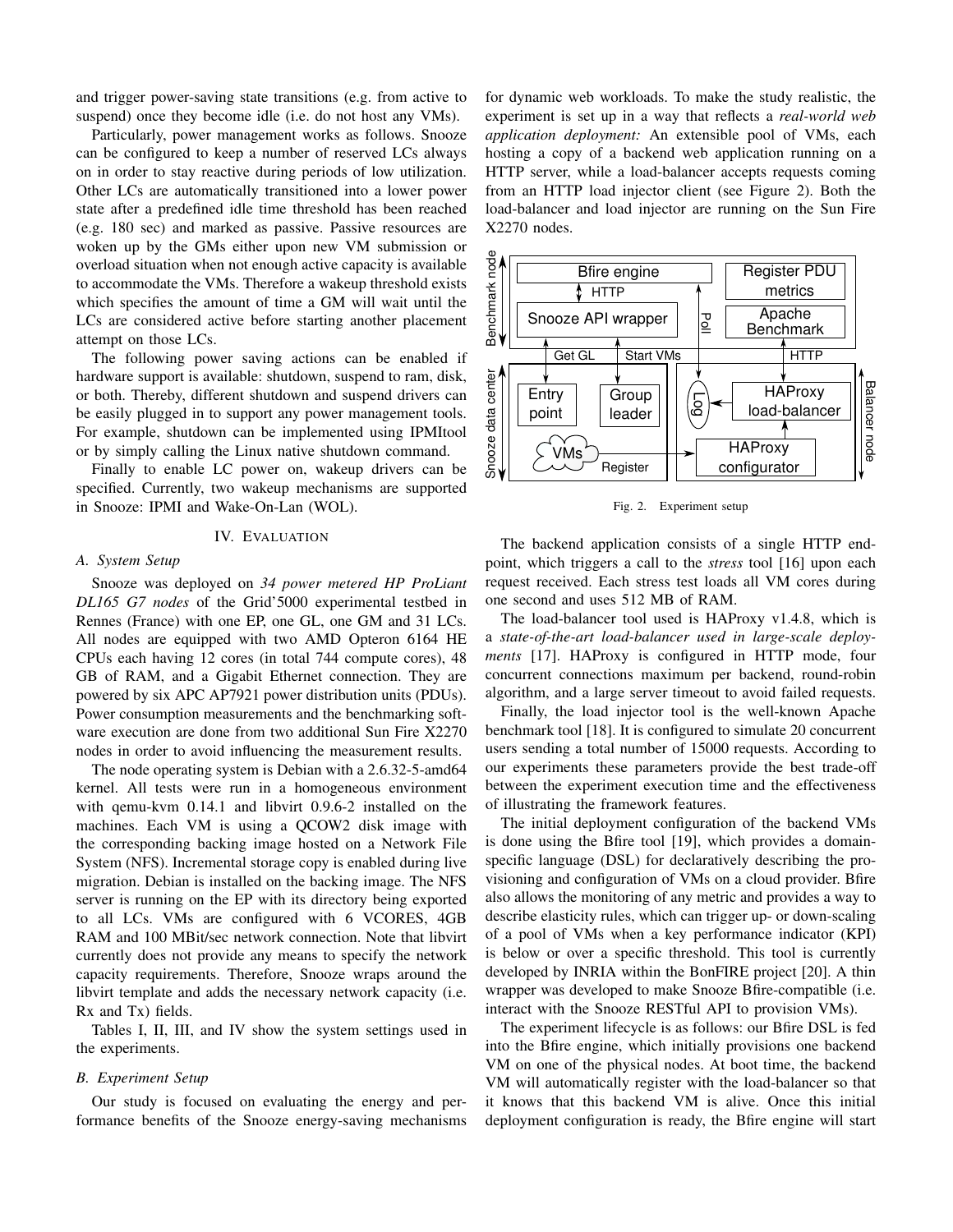and trigger power-saving state transitions (e.g. from active to suspend) once they become idle (i.e. do not host any VMs).

Particularly, power management works as follows. Snooze can be configured to keep a number of reserved LCs always on in order to stay reactive during periods of low utilization. Other LCs are automatically transitioned into a lower power state after a predefined idle time threshold has been reached (e.g. 180 sec) and marked as passive. Passive resources are woken up by the GMs either upon new VM submission or overload situation when not enough active capacity is available to accommodate the VMs. Therefore a wakeup threshold exists which specifies the amount of time a GM will wait until the LCs are considered active before starting another placement attempt on those LCs.

The following power saving actions can be enabled if hardware support is available: shutdown, suspend to ram, disk, or both. Thereby, different shutdown and suspend drivers can be easily plugged in to support any power management tools. For example, shutdown can be implemented using IPMItool or by simply calling the Linux native shutdown command.

Finally to enable LC power on, wakeup drivers can be specified. Currently, two wakeup mechanisms are supported in Snooze: IPMI and Wake-On-Lan (WOL).

#### IV. EVALUATION

#### *A. System Setup*

Snooze was deployed on *34 power metered HP ProLiant DL165 G7 nodes* of the Grid'5000 experimental testbed in Rennes (France) with one EP, one GL, one GM and 31 LCs. All nodes are equipped with two AMD Opteron 6164 HE CPUs each having 12 cores (in total 744 compute cores), 48 GB of RAM, and a Gigabit Ethernet connection. They are powered by six APC AP7921 power distribution units (PDUs). Power consumption measurements and the benchmarking software execution are done from two additional Sun Fire X2270 nodes in order to avoid influencing the measurement results.

The node operating system is Debian with a 2.6.32-5-amd64 kernel. All tests were run in a homogeneous environment with qemu-kvm 0.14.1 and libvirt 0.9.6-2 installed on the machines. Each VM is using a QCOW2 disk image with the corresponding backing image hosted on a Network File System (NFS). Incremental storage copy is enabled during live migration. Debian is installed on the backing image. The NFS server is running on the EP with its directory being exported to all LCs. VMs are configured with 6 VCORES, 4GB RAM and 100 MBit/sec network connection. Note that libvirt currently does not provide any means to specify the network capacity requirements. Therefore, Snooze wraps around the libvirt template and adds the necessary network capacity (i.e. Rx and Tx) fields.

Tables I, II, III, and IV show the system settings used in the experiments.

#### *B. Experiment Setup*

Our study is focused on evaluating the energy and performance benefits of the Snooze energy-saving mechanisms for dynamic web workloads. To make the study realistic, the experiment is set up in a way that reflects a *real-world web application deployment:* An extensible pool of VMs, each hosting a copy of a backend web application running on a HTTP server, while a load-balancer accepts requests coming from an HTTP load injector client (see Figure 2). Both the load-balancer and load injector are running on the Sun Fire X2270 nodes.



Fig. 2. Experiment setup

The backend application consists of a single HTTP endpoint, which triggers a call to the *stress* tool [16] upon each request received. Each stress test loads all VM cores during one second and uses 512 MB of RAM.

The load-balancer tool used is HAProxy v1.4.8, which is a *state-of-the-art load-balancer used in large-scale deployments* [17]. HAProxy is configured in HTTP mode, four concurrent connections maximum per backend, round-robin algorithm, and a large server timeout to avoid failed requests.

Finally, the load injector tool is the well-known Apache benchmark tool [18]. It is configured to simulate 20 concurrent users sending a total number of 15000 requests. According to our experiments these parameters provide the best trade-off between the experiment execution time and the effectiveness of illustrating the framework features.

The initial deployment configuration of the backend VMs is done using the Bfire tool [19], which provides a domainspecific language (DSL) for declaratively describing the provisioning and configuration of VMs on a cloud provider. Bfire also allows the monitoring of any metric and provides a way to describe elasticity rules, which can trigger up- or down-scaling of a pool of VMs when a key performance indicator (KPI) is below or over a specific threshold. This tool is currently developed by INRIA within the BonFIRE project [20]. A thin wrapper was developed to make Snooze Bfire-compatible (i.e. interact with the Snooze RESTful API to provision VMs).

The experiment lifecycle is as follows: our Bfire DSL is fed into the Bfire engine, which initially provisions one backend VM on one of the physical nodes. At boot time, the backend VM will automatically register with the load-balancer so that it knows that this backend VM is alive. Once this initial deployment configuration is ready, the Bfire engine will start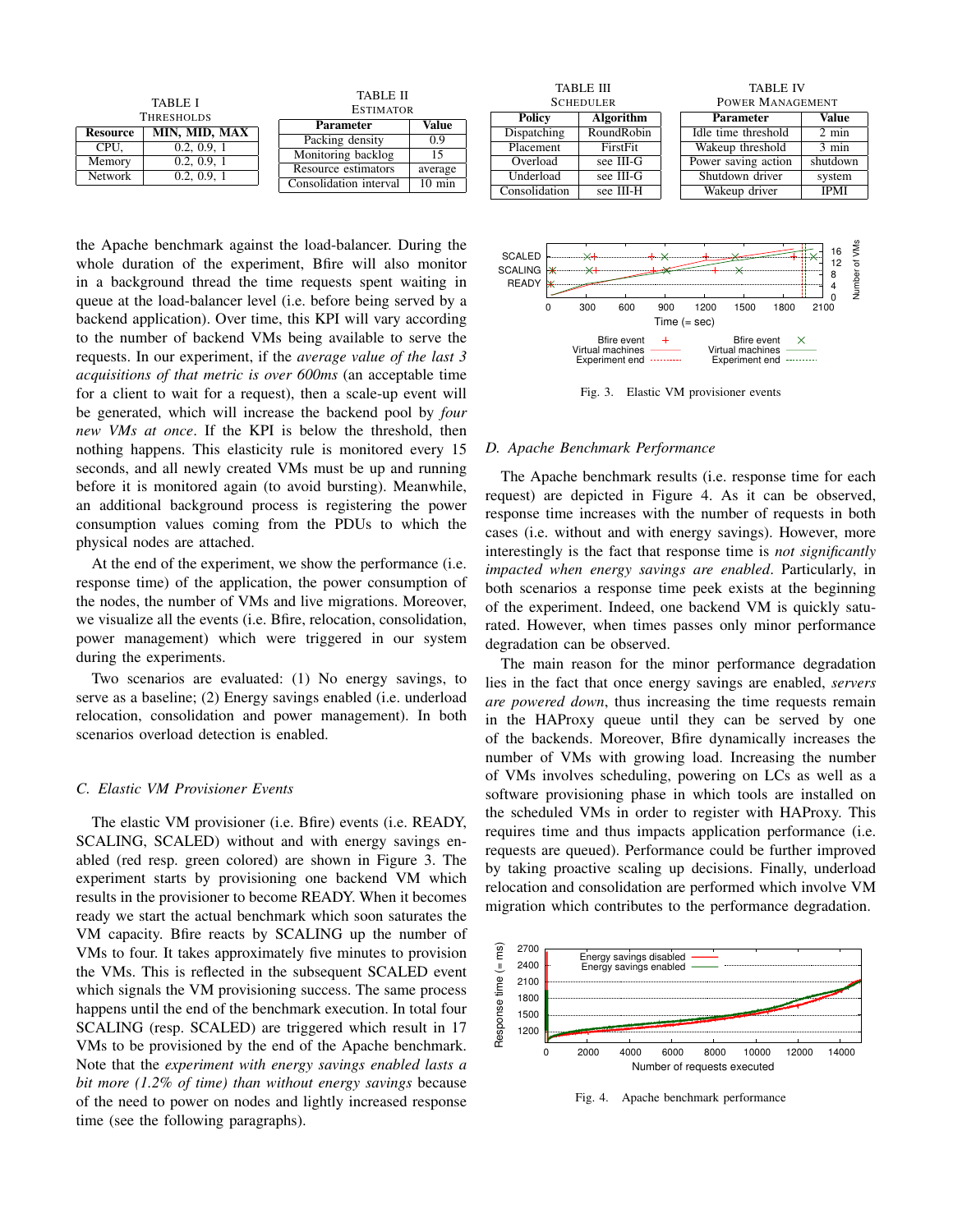| <b>THRESHOLDS</b>        |                            |            |
|--------------------------|----------------------------|------------|
| <b>Resource</b>          | MIN, MID, MAX              | Pa<br>Pack |
| CPU.                     | 0.2, 0.9, 1                | Monito     |
| Memory<br><b>Network</b> | 0.2, 0.9, 1<br>0.2, 0.9, 1 | Resour     |
|                          |                            | Concolic   |

| <b>TABLE II</b>        |                  |  |  |
|------------------------|------------------|--|--|
| <b>ESTIMATOR</b>       |                  |  |  |
| Parameter              | Value            |  |  |
| Packing density        | 0.9              |  |  |
| Monitoring backlog     | 15               |  |  |
| Resource estimators    | average          |  |  |
| Consolidation interval | $10 \text{ min}$ |  |  |

the Apache benchmark against the load-balancer. During the whole duration of the experiment, Bfire will also monitor in a background thread the time requests spent waiting in queue at the load-balancer level (i.e. before being served by a backend application). Over time, this KPI will vary according to the number of backend VMs being available to serve the requests. In our experiment, if the *average value of the last 3 acquisitions of that metric is over 600ms* (an acceptable time for a client to wait for a request), then a scale-up event will be generated, which will increase the backend pool by *four new VMs at once*. If the KPI is below the threshold, then nothing happens. This elasticity rule is monitored every 15 seconds, and all newly created VMs must be up and running before it is monitored again (to avoid bursting). Meanwhile, an additional background process is registering the power consumption values coming from the PDUs to which the physical nodes are attached.

At the end of the experiment, we show the performance (i.e. response time) of the application, the power consumption of the nodes, the number of VMs and live migrations. Moreover, we visualize all the events (i.e. Bfire, relocation, consolidation, power management) which were triggered in our system during the experiments.

Two scenarios are evaluated: (1) No energy savings, to serve as a baseline; (2) Energy savings enabled (i.e. underload relocation, consolidation and power management). In both scenarios overload detection is enabled.

#### *C. Elastic VM Provisioner Events*

The elastic VM provisioner (i.e. Bfire) events (i.e. READY, SCALING, SCALED) without and with energy savings enabled (red resp. green colored) are shown in Figure 3. The experiment starts by provisioning one backend VM which results in the provisioner to become READY. When it becomes ready we start the actual benchmark which soon saturates the VM capacity. Bfire reacts by SCALING up the number of VMs to four. It takes approximately five minutes to provision the VMs. This is reflected in the subsequent SCALED event which signals the VM provisioning success. The same process happens until the end of the benchmark execution. In total four SCALING (resp. SCALED) are triggered which result in 17 VMs to be provisioned by the end of the Apache benchmark. Note that the *experiment with energy savings enabled lasts a bit more (1.2% of time) than without energy savings* because of the need to power on nodes and lightly increased response time (see the following paragraphs).



Fig. 3. Elastic VM provisioner events

#### *D. Apache Benchmark Performance*

The Apache benchmark results (i.e. response time for each request) are depicted in Figure 4. As it can be observed, response time increases with the number of requests in both cases (i.e. without and with energy savings). However, more interestingly is the fact that response time is *not significantly impacted when energy savings are enabled*. Particularly, in both scenarios a response time peek exists at the beginning of the experiment. Indeed, one backend VM is quickly saturated. However, when times passes only minor performance degradation can be observed.

The main reason for the minor performance degradation lies in the fact that once energy savings are enabled, *servers are powered down*, thus increasing the time requests remain in the HAProxy queue until they can be served by one of the backends. Moreover, Bfire dynamically increases the number of VMs with growing load. Increasing the number of VMs involves scheduling, powering on LCs as well as a software provisioning phase in which tools are installed on the scheduled VMs in order to register with HAProxy. This requires time and thus impacts application performance (i.e. requests are queued). Performance could be further improved by taking proactive scaling up decisions. Finally, underload relocation and consolidation are performed which involve VM migration which contributes to the performance degradation.



Fig. 4. Apache benchmark performance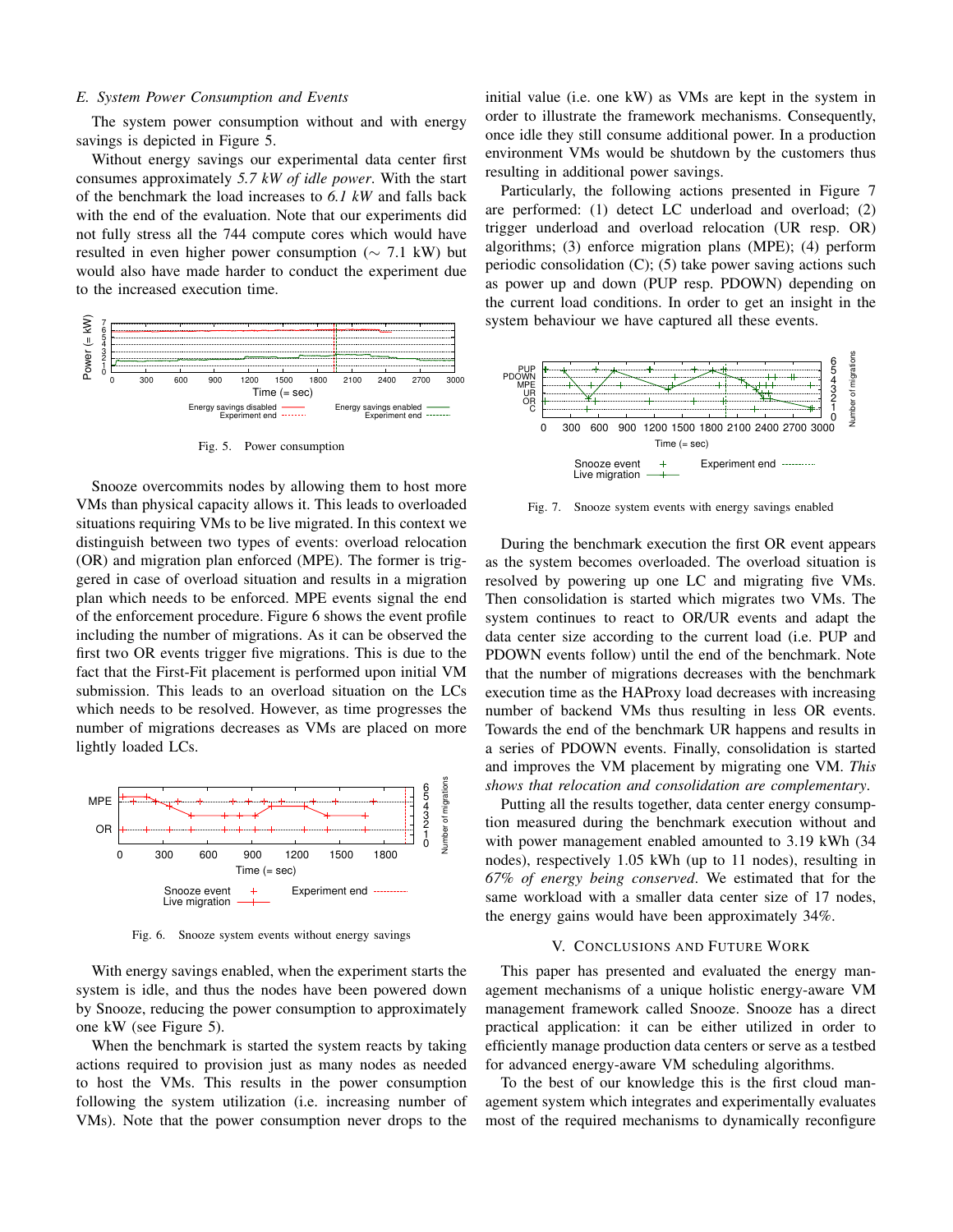#### *E. System Power Consumption and Events*

The system power consumption without and with energy savings is depicted in Figure 5.

Without energy savings our experimental data center first consumes approximately *5.7 kW of idle power*. With the start of the benchmark the load increases to *6.1 kW* and falls back with the end of the evaluation. Note that our experiments did not fully stress all the 744 compute cores which would have resulted in even higher power consumption ( $\sim$  7.1 kW) but would also have made harder to conduct the experiment due to the increased execution time.



Fig. 5. Power consumption

Snooze overcommits nodes by allowing them to host more VMs than physical capacity allows it. This leads to overloaded situations requiring VMs to be live migrated. In this context we distinguish between two types of events: overload relocation (OR) and migration plan enforced (MPE). The former is triggered in case of overload situation and results in a migration plan which needs to be enforced. MPE events signal the end of the enforcement procedure. Figure 6 shows the event profile including the number of migrations. As it can be observed the first two OR events trigger five migrations. This is due to the fact that the First-Fit placement is performed upon initial VM submission. This leads to an overload situation on the LCs which needs to be resolved. However, as time progresses the number of migrations decreases as VMs are placed on more lightly loaded LCs.



Fig. 6. Snooze system events without energy savings

With energy savings enabled, when the experiment starts the system is idle, and thus the nodes have been powered down by Snooze, reducing the power consumption to approximately one kW (see Figure 5).

When the benchmark is started the system reacts by taking actions required to provision just as many nodes as needed to host the VMs. This results in the power consumption following the system utilization (i.e. increasing number of VMs). Note that the power consumption never drops to the initial value (i.e. one kW) as VMs are kept in the system in order to illustrate the framework mechanisms. Consequently, once idle they still consume additional power. In a production environment VMs would be shutdown by the customers thus resulting in additional power savings.

Particularly, the following actions presented in Figure 7 are performed: (1) detect LC underload and overload; (2) trigger underload and overload relocation (UR resp. OR) algorithms; (3) enforce migration plans (MPE); (4) perform periodic consolidation (C); (5) take power saving actions such as power up and down (PUP resp. PDOWN) depending on the current load conditions. In order to get an insight in the system behaviour we have captured all these events.



Fig. 7. Snooze system events with energy savings enabled

During the benchmark execution the first OR event appears as the system becomes overloaded. The overload situation is resolved by powering up one LC and migrating five VMs. Then consolidation is started which migrates two VMs. The system continues to react to OR/UR events and adapt the data center size according to the current load (i.e. PUP and PDOWN events follow) until the end of the benchmark. Note that the number of migrations decreases with the benchmark execution time as the HAProxy load decreases with increasing number of backend VMs thus resulting in less OR events. Towards the end of the benchmark UR happens and results in a series of PDOWN events. Finally, consolidation is started and improves the VM placement by migrating one VM. *This shows that relocation and consolidation are complementary*.

Putting all the results together, data center energy consumption measured during the benchmark execution without and with power management enabled amounted to 3.19 kWh (34 nodes), respectively 1.05 kWh (up to 11 nodes), resulting in *67% of energy being conserved*. We estimated that for the same workload with a smaller data center size of 17 nodes, the energy gains would have been approximately 34%.

#### V. CONCLUSIONS AND FUTURE WORK

This paper has presented and evaluated the energy management mechanisms of a unique holistic energy-aware VM management framework called Snooze. Snooze has a direct practical application: it can be either utilized in order to efficiently manage production data centers or serve as a testbed for advanced energy-aware VM scheduling algorithms.

To the best of our knowledge this is the first cloud management system which integrates and experimentally evaluates most of the required mechanisms to dynamically reconfigure